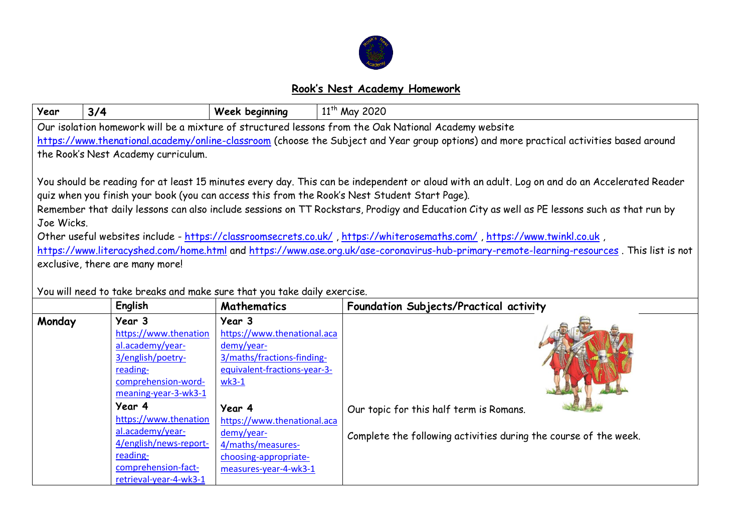

## **Rook's Nest Academy Homework**

| Year                                                                                                                                         | 3/4                                                                      | Week beginning                  | 11 <sup>th</sup> May 2020                                        |  |  |  |  |
|----------------------------------------------------------------------------------------------------------------------------------------------|--------------------------------------------------------------------------|---------------------------------|------------------------------------------------------------------|--|--|--|--|
| Our isolation homework will be a mixture of structured lessons from the Oak National Academy website                                         |                                                                          |                                 |                                                                  |  |  |  |  |
| https://www.thenational.academy/online-classroom (choose the Subject and Year group options) and more practical activities based around      |                                                                          |                                 |                                                                  |  |  |  |  |
| the Rook's Nest Academy curriculum.                                                                                                          |                                                                          |                                 |                                                                  |  |  |  |  |
|                                                                                                                                              |                                                                          |                                 |                                                                  |  |  |  |  |
| You should be reading for at least 15 minutes every day. This can be independent or aloud with an adult. Log on and do an Accelerated Reader |                                                                          |                                 |                                                                  |  |  |  |  |
| quiz when you finish your book (you can access this from the Rook's Nest Student Start Page).                                                |                                                                          |                                 |                                                                  |  |  |  |  |
| Remember that daily lessons can also include sessions on TT Rockstars, Prodigy and Education City as well as PE lessons such as that run by  |                                                                          |                                 |                                                                  |  |  |  |  |
| Joe Wicks.                                                                                                                                   |                                                                          |                                 |                                                                  |  |  |  |  |
|                                                                                                                                              |                                                                          |                                 |                                                                  |  |  |  |  |
| Other useful websites include - https://classroomsecrets.co.uk/, https://whiterosemaths.com/, https://www.twinkl.co.uk,                      |                                                                          |                                 |                                                                  |  |  |  |  |
| https://www.literacyshed.com/home.html and https://www.ase.org.uk/ase-coronavirus-hub-primary-remote-learning-resources. This list is not    |                                                                          |                                 |                                                                  |  |  |  |  |
| exclusive, there are many more!                                                                                                              |                                                                          |                                 |                                                                  |  |  |  |  |
|                                                                                                                                              |                                                                          |                                 |                                                                  |  |  |  |  |
|                                                                                                                                              | You will need to take breaks and make sure that you take daily exercise. |                                 |                                                                  |  |  |  |  |
|                                                                                                                                              | English                                                                  | <b>Mathematics</b>              | Foundation Subjects/Practical activity                           |  |  |  |  |
| Monday                                                                                                                                       | Year 3                                                                   | Year 3                          |                                                                  |  |  |  |  |
|                                                                                                                                              | https://www.thenation                                                    | https://www.thenational.aca     |                                                                  |  |  |  |  |
|                                                                                                                                              | al.academy/year-                                                         | demy/year-                      |                                                                  |  |  |  |  |
|                                                                                                                                              | 3/english/poetry-                                                        | 3/maths/fractions-finding-      |                                                                  |  |  |  |  |
|                                                                                                                                              | reading-                                                                 | equivalent-fractions-year-3-    |                                                                  |  |  |  |  |
|                                                                                                                                              | comprehension-word-                                                      | $wk3-1$                         |                                                                  |  |  |  |  |
|                                                                                                                                              | meaning-year-3-wk3-1<br>Year 4                                           |                                 |                                                                  |  |  |  |  |
|                                                                                                                                              |                                                                          | Year 4                          | Our topic for this half term is Romans.                          |  |  |  |  |
|                                                                                                                                              | https://www.thenation<br>al.academy/year-                                | https://www.thenational.aca     |                                                                  |  |  |  |  |
|                                                                                                                                              | 4/english/news-report-                                                   | demy/year-<br>4/maths/measures- | Complete the following activities during the course of the week. |  |  |  |  |
|                                                                                                                                              | reading-                                                                 | choosing-appropriate-           |                                                                  |  |  |  |  |
|                                                                                                                                              | comprehension-fact-                                                      | measures-year-4-wk3-1           |                                                                  |  |  |  |  |
|                                                                                                                                              | retrieval-year-4-wk3-1                                                   |                                 |                                                                  |  |  |  |  |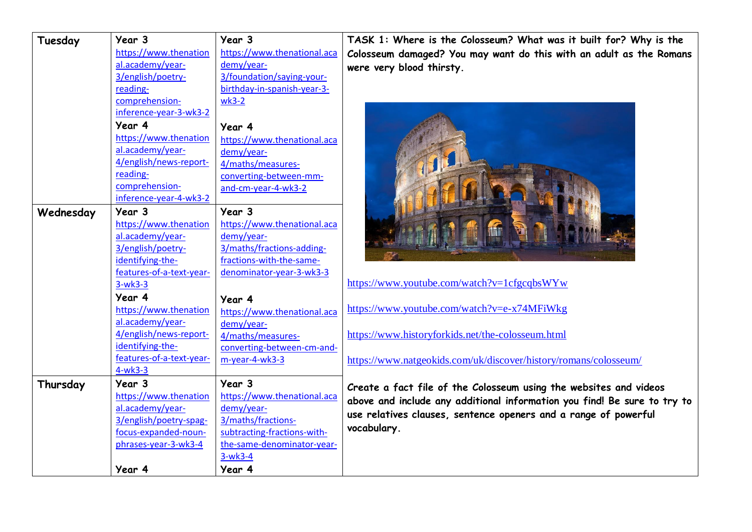| Tuesday   | Year 3<br>https://www.thenation<br>al.academy/year-<br>3/english/poetry-<br>reading-<br>comprehension-<br>inference-year-3-wk3-2<br>Year 4<br>https://www.thenation<br>al.academy/year-<br>4/english/news-report- | Year 3<br>https://www.thenational.aca<br>demy/year-<br>3/foundation/saying-your-<br>birthday-in-spanish-year-3-<br>$wk3-2$<br>Year 4<br>https://www.thenational.aca<br>demy/year- | TASK 1: WI<br>Colosseum d<br>were very b                    |
|-----------|-------------------------------------------------------------------------------------------------------------------------------------------------------------------------------------------------------------------|-----------------------------------------------------------------------------------------------------------------------------------------------------------------------------------|-------------------------------------------------------------|
|           | reading-<br>comprehension-<br>inference-year-4-wk3-2                                                                                                                                                              | 4/maths/measures-<br>converting-between-mm-<br>and-cm-year-4-wk3-2                                                                                                                |                                                             |
| Wednesday | Year 3<br>https://www.thenation<br>al.academy/year-<br>3/english/poetry-<br>identifying-the-<br>features-of-a-text-year-<br>$3-wk3-3$                                                                             | Year 3<br>https://www.thenational.aca<br>demy/year-<br>3/maths/fractions-adding-<br>fractions-with-the-same-<br>denominator-year-3-wk3-3                                          | https://www.y                                               |
|           | Year 4<br>https://www.thenation<br>al.academy/year-                                                                                                                                                               | Year 4<br>https://www.thenational.aca<br>demy/year-                                                                                                                               | https://www.y                                               |
|           | 4/english/news-report-<br>identifying-the-<br>features-of-a-text-year-<br>$4-wk3-3$                                                                                                                               | 4/maths/measures-<br>converting-between-cm-and-<br>m-year-4-wk3-3                                                                                                                 | https://www.l<br>https://www.i                              |
| Thursday  | Year 3<br>https://www.thenation<br>al.academy/year-<br>3/english/poetry-spag-<br>focus-expanded-noun-<br>phrases-year-3-wk3-4                                                                                     | Year 3<br>https://www.thenational.aca<br>demy/year-<br>3/maths/fractions-<br>subtracting-fractions-with-<br>the-same-denominator-year-<br>$3-wk3-4$                               | Create a fa<br>above and ir<br>use relatives<br>vocabulary. |
|           | Year 4                                                                                                                                                                                                            | Year 4                                                                                                                                                                            |                                                             |

here is the Colosseum? What was it built for? Why is the lamaged? You may want do this with an adult as the Romans blood thirsty.



youtube.com/watch?v=1cfgcqbsWYw

youtube.com/watch?v=e-x74MFiWkg

historyforkids.net/the-colosseum.html

<https://www.natgeokids.com/uk/discover/history/romans/colosseum/>

**Create a fact file of the Colosseum using the websites and videos above and include any additional information you find! Be sure to try to use relatives clauses, sentence openers and a range of powerful**